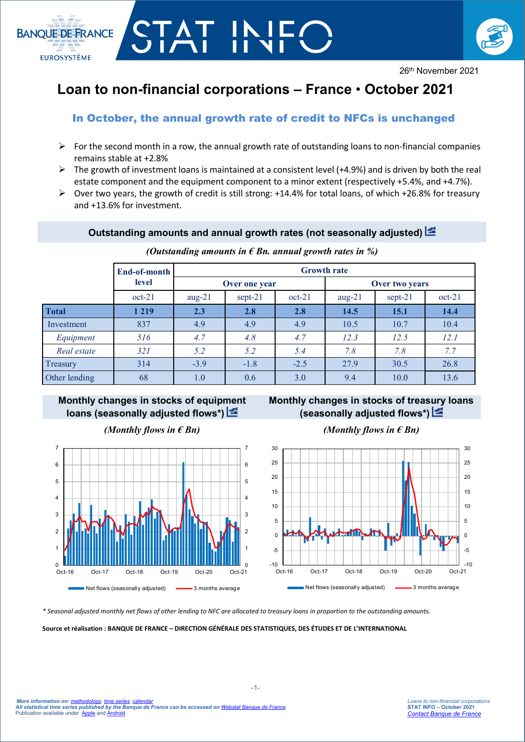

# **Loan to non-financial corporations – France** • **October 2021**

STAT IN

**BANQUE DE FRANCE** 

**EUROSYSTÈME** 

# In October, the annual growth rate of credit to NFCs is unchanged

- $\triangleright$  For the second month in a row, the annual growth rate of outstanding loans to non-financial companies remains stable at +2.8%
- $\triangleright$  The growth of investment loans is maintained at a consistent level (+4.9%) and is driven by both the real estate component and the equipment component to a minor extent (respectively +5.4%, and +4.7%).
- $\triangleright$  Over two years, the growth of credit is still strong: +14.4% for total loans, of which +26.8% for treasury and +13.6% for investment.

# **Outstanding amounts and annual growth rates (not seasonally adjusted)**

|               | End-of-month | <b>Growth rate</b> |           |          |                |           |          |
|---------------|--------------|--------------------|-----------|----------|----------------|-----------|----------|
|               | level        | Over one year      |           |          | Over two years |           |          |
|               | $oct-21$     | $aug-21$           | $sept-21$ | $oct-21$ | $aug-21$       | $sept-21$ | $oct-21$ |
| <b>Total</b>  | 1 2 1 9      | 2.3                | 2.8       | 2.8      | 14.5           | 15.1      | 14.4     |
| Investment    | 837          | 4.9                | 4.9       | 4.9      | 10.5           | 10.7      | 10.4     |
| Equipment     | 516          | 4.7                | 4.8       | 4.7      | 12.3           | 12.5      | 12.1     |
| Real estate   | 321          | 5.2                | 5.2       | 5.4      | 7.8            | 7.8       | 7.7      |
| Treasury      | 314          | $-3.9$             | $-1.8$    | $-2.5$   | 27.9           | 30.5      | 26.8     |
| Other lending | 68           | 1.0                | 0.6       | 3.0      | 9.4            | 10.0      | 13.6     |

#### *(Outstanding amounts in € Bn. annual growth rates in %)*

# **Monthly changes in stocks of equip[men](http://webstat.banque-france.fr/en/publication/Loans_NFC_graph1)t loans (seasonally adjusted flows\*)**



# **Monthly changes in stocks of treas[ury](http://webstat.banque-france.fr/en/publication/Loans_NFC_graph2) loans (seasonally adjusted flows\*)**

# *(Monthly flows in € Bn) (Monthly flows in € Bn)*



*\* Seasonal adjusted monthly net flows of other lending to NFC are allocated to treasury loans in proportion to the outstanding amounts.*

**Source et réalisation : BANQUE DE FRANCE – DIRECTION GÉNÉRALE DES STATISTIQUES, DES ÉTUDES ET DE L'INTERNATIONAL**